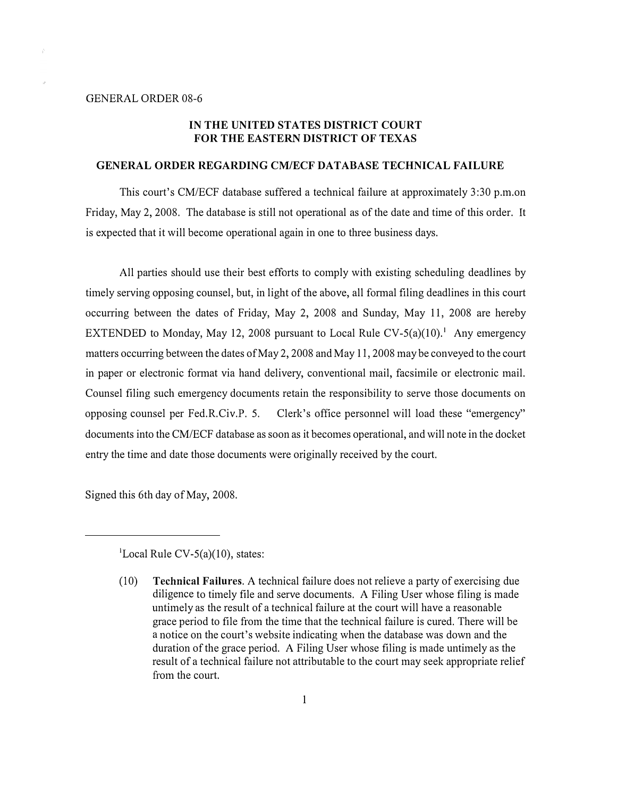## IN THE UNITED STATES DISTRICT COURT FOR THE EASTERN DISTRICT OF TEXAS

## GENERAL ORDER REGARDING CM/ECF DATABASE TECHNICAL FAILURE

This court's CM/ECF database suffered a technical failure at approximately 3:30 p.m.on Friday, May 2, 2008. The database is still not operational as of the date and time of this order. It is expected that it will become operational again in one to three business days.

All parties should use their best efforts to comply with existing scheduling deadlines by timely serving opposing counsel, but, in light of the above, all formal filing deadlines in this court occurring between the dates of Friday, May 2, 2008 and Sunday, May 11, 2008 are hereby EXTENDED to Monday, May 12, 2008 pursuant to Local Rule CV-5(a)(10).<sup>1</sup> Any emergency matters occurring between the dates of May 2, 2008 and May 11, 2008 may be conveyed to the court in paper or electronic format via hand delivery, conventional mail, facsimile or electronic mail. Counsel filing such emergency documents retain the responsibility to serve those documents on opposing counsel per Fed.R.Civ.P. 5. Clerk's office personnel will load these "emergency" documents into the CM/ECF database as soon as it becomes operational, and will note in the docket entry the time and date those documents were originally received by the court.

Signed this 6th day of May, 2008.

<sup>&</sup>lt;sup>1</sup>Local Rule CV-5(a)(10), states:

<sup>(10)</sup> Technical Failures. A technical failure does not relieve a party of exercising due diligence to timely file and serve documents. A Filing User whose filing is made untimely as the result of a technical failure at the court will have a reasonable grace period to file from the time that the technical failure is cured. There will be a notice on the court's website indicating when the database was down and the duration of the grace period. A Filing User whose filing is made untimely as the result of a technical failure not attributable to the court may seek appropriate relief from the court.